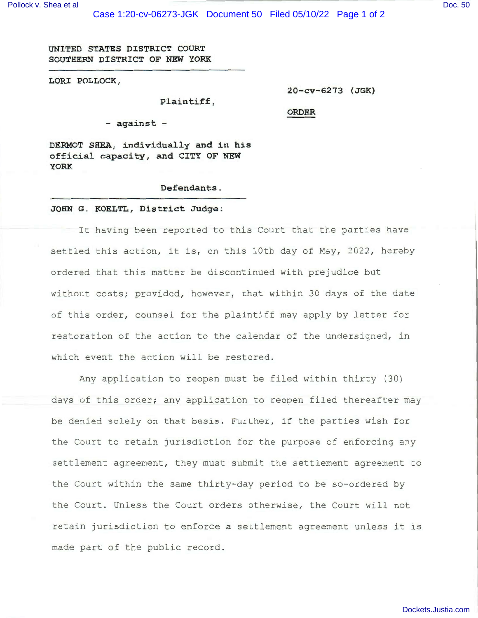**UNITED STATES DISTRICT COURT SOUTHERN DISTRICT OF NEW YORK** 

**LORI POLLOCK,** 

**Plaintiff,** 

**20-cv-6273 (JGK)** 

**ORDER** 

- **against** -

**DERMOT SHEA, individually and in his official capacity, and CITY OF NEW YORK** 

## **Defendants.**

## **JOHN G. KOELTL, District Judge:**

It having been reported to this Court that the parties have settled this action, it is, on this 10th day of May, 2022, hereby ordered that this matter be discontinued with prejudice but without costs; provided, however, that within 30 days of the date of this order, counsel for the plaintiff may apply by letter for restoration of the action to the calendar of the undersigned, in which event the action will be restored.

Any application to reopen must be filed within thirty (30) days of this order; any application to reopen filed thereafter may be denied solely on that basis. Further, if the parties wish for the Court to retain jurisdiction for the purpose of enforcing any settlement agreement, they must submit the settlement agreement to the Court within the same thirty-day period to be so-ordered by the Court. Unless the Court orders otherwise, the Court will not retain jurisdiction to enforce a settlement agreement unless it is made part of the public record.